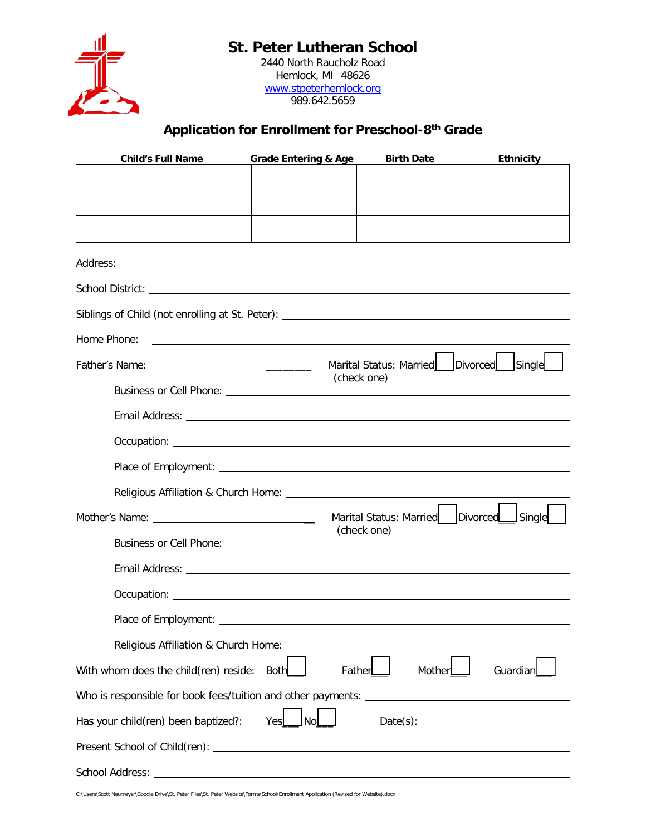## **St. Peter Lutheran School**



2440 North Raucholz Road Hemlock, MI 48626 [www.stpeterhemlock.org](http://www.stpeterhemlock.org/) 989.642.5659

## **Application for Enrollment for Preschool-8th Grade**

| <b>Child's Full Name</b>                                                                                                                                                                                                       | <b>Grade Entering &amp; Age</b>                                     | <b>Birth Date</b>                         | <b>Ethnicity</b> |  |  |
|--------------------------------------------------------------------------------------------------------------------------------------------------------------------------------------------------------------------------------|---------------------------------------------------------------------|-------------------------------------------|------------------|--|--|
|                                                                                                                                                                                                                                |                                                                     |                                           |                  |  |  |
|                                                                                                                                                                                                                                |                                                                     |                                           |                  |  |  |
|                                                                                                                                                                                                                                |                                                                     |                                           |                  |  |  |
|                                                                                                                                                                                                                                |                                                                     |                                           |                  |  |  |
|                                                                                                                                                                                                                                |                                                                     |                                           |                  |  |  |
|                                                                                                                                                                                                                                |                                                                     |                                           |                  |  |  |
|                                                                                                                                                                                                                                |                                                                     |                                           |                  |  |  |
| Home Phone:                                                                                                                                                                                                                    | <u> 1980 - Andrea Station Barbara, amerikan personal (h. 1980).</u> |                                           |                  |  |  |
|                                                                                                                                                                                                                                |                                                                     |                                           |                  |  |  |
|                                                                                                                                                                                                                                | Marital Status: Married     Divorced   Single<br>(check one)        |                                           |                  |  |  |
|                                                                                                                                                                                                                                |                                                                     |                                           |                  |  |  |
|                                                                                                                                                                                                                                |                                                                     |                                           |                  |  |  |
|                                                                                                                                                                                                                                |                                                                     |                                           |                  |  |  |
|                                                                                                                                                                                                                                |                                                                     |                                           |                  |  |  |
| Religious Affiliation & Church Home: New York Change and Service Change and Service Change and Service Change and Service Change and Service Change and Service Change and Service Change and Service Change and Service Chang |                                                                     |                                           |                  |  |  |
|                                                                                                                                                                                                                                |                                                                     | Marital Status: Married   Divorced Single |                  |  |  |
|                                                                                                                                                                                                                                |                                                                     | (check one)                               |                  |  |  |
|                                                                                                                                                                                                                                |                                                                     |                                           |                  |  |  |
|                                                                                                                                                                                                                                |                                                                     |                                           |                  |  |  |
|                                                                                                                                                                                                                                |                                                                     |                                           |                  |  |  |
| Religious Affiliation & Church Home:                                                                                                                                                                                           |                                                                     |                                           |                  |  |  |
| With whom does the child(ren) reside:                                                                                                                                                                                          | <b>Both</b>                                                         | Mother<br>Father                          | Guardian         |  |  |
|                                                                                                                                                                                                                                |                                                                     |                                           |                  |  |  |
| Has your child(ren) been baptized?:                                                                                                                                                                                            | No<br>Yes                                                           |                                           |                  |  |  |
|                                                                                                                                                                                                                                |                                                                     |                                           |                  |  |  |
| <b>School Address:</b>                                                                                                                                                                                                         |                                                                     |                                           |                  |  |  |